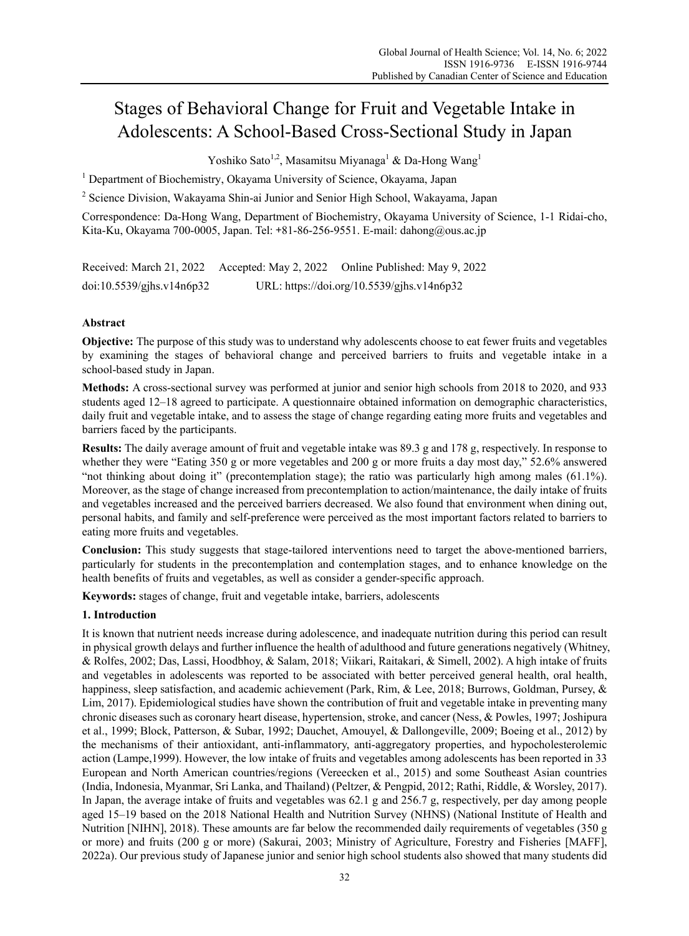# Stages of Behavioral Change for Fruit and Vegetable Intake in Adolescents: A School-Based Cross-Sectional Study in Japan

Yoshiko Sato $^{1,2}$ , Masamitsu Miyanaga $^{1}$  & Da-Hong Wang $^{1}$ 

<sup>1</sup> Department of Biochemistry, Okayama University of Science, Okayama, Japan

<sup>2</sup> Science Division, Wakayama Shin-ai Junior and Senior High School, Wakayama, Japan

Correspondence: Da-Hong Wang, Department of Biochemistry, Okayama University of Science, 1-1 Ridai-cho, Kita-Ku, Okayama 700-0005, Japan. Tel: +81-86-256-9551. E-mail: dahong@ous.ac.jp

Received: March 21, 2022 Accepted: May 2, 2022 Online Published: May 9, 2022 doi:10.5539/gjhs.v14n6p32 URL: https://doi.org/10.5539/gjhs.v14n6p32

# **Abstract**

**Objective:** The purpose of this study was to understand why adolescents choose to eat fewer fruits and vegetables by examining the stages of behavioral change and perceived barriers to fruits and vegetable intake in a school-based study in Japan.

**Methods:** A cross-sectional survey was performed at junior and senior high schools from 2018 to 2020, and 933 students aged 12–18 agreed to participate. A questionnaire obtained information on demographic characteristics, daily fruit and vegetable intake, and to assess the stage of change regarding eating more fruits and vegetables and barriers faced by the participants.

**Results:** The daily average amount of fruit and vegetable intake was 89.3 g and 178 g, respectively. In response to whether they were "Eating 350 g or more vegetables and 200 g or more fruits a day most day," 52.6% answered "not thinking about doing it" (precontemplation stage); the ratio was particularly high among males (61.1%). Moreover, as the stage of change increased from precontemplation to action/maintenance, the daily intake of fruits and vegetables increased and the perceived barriers decreased. We also found that environment when dining out, personal habits, and family and self-preference were perceived as the most important factors related to barriers to eating more fruits and vegetables.

**Conclusion:** This study suggests that stage-tailored interventions need to target the above-mentioned barriers, particularly for students in the precontemplation and contemplation stages, and to enhance knowledge on the health benefits of fruits and vegetables, as well as consider a gender-specific approach.

**Keywords:** stages of change, fruit and vegetable intake, barriers, adolescents

# **1. Introduction**

It is known that nutrient needs increase during adolescence, and inadequate nutrition during this period can result in physical growth delays and further influence the health of adulthood and future generations negatively (Whitney, & Rolfes, 2002; Das, Lassi, Hoodbhoy, & Salam, 2018; Viikari, Raitakari, & Simell, 2002). A high intake of fruits and vegetables in adolescents was reported to be associated with better perceived general health, oral health, happiness, sleep satisfaction, and academic achievement (Park, Rim, & Lee, 2018; Burrows, Goldman, Pursey, & Lim, 2017). Epidemiological studies have shown the contribution of fruit and vegetable intake in preventing many chronic diseases such as coronary heart disease, hypertension, stroke, and cancer (Ness, & Powles, 1997; Joshipura et al., 1999; Block, Patterson, & Subar, 1992; Dauchet, Amouyel, & Dallongeville, 2009; Boeing et al., 2012) by the mechanisms of their antioxidant, anti-inflammatory, anti-aggregatory properties, and hypocholesterolemic action (Lampe,1999). However, the low intake of fruits and vegetables among adolescents has been reported in 33 European and North American countries/regions (Vereecken et al., 2015) and some Southeast Asian countries (India, Indonesia, Myanmar, Sri Lanka, and Thailand) (Peltzer, & Pengpid, 2012; Rathi, Riddle, & Worsley, 2017). In Japan, the average intake of fruits and vegetables was 62.1 g and 256.7 g, respectively, per day among people aged 15–19 based on the 2018 National Health and Nutrition Survey (NHNS) (National Institute of Health and Nutrition [NIHN], 2018). These amounts are far below the recommended daily requirements of vegetables (350 g or more) and fruits (200 g or more) (Sakurai, 2003; Ministry of Agriculture, Forestry and Fisheries [MAFF], 2022a). Our previous study of Japanese junior and senior high school students also showed that many students did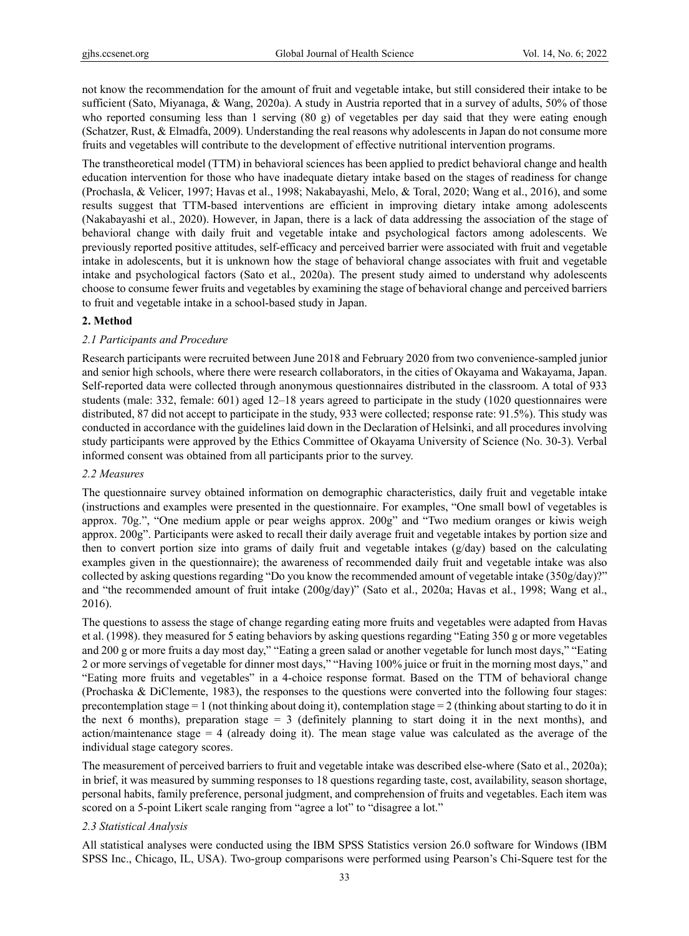not know the recommendation for the amount of fruit and vegetable intake, but still considered their intake to be sufficient (Sato, Miyanaga, & Wang, 2020a). A study in Austria reported that in a survey of adults, 50% of those who reported consuming less than 1 serving (80 g) of vegetables per day said that they were eating enough (Schatzer, Rust, & Elmadfa, 2009). Understanding the real reasons why adolescents in Japan do not consume more fruits and vegetables will contribute to the development of effective nutritional intervention programs.

The transtheoretical model (TTM) in behavioral sciences has been applied to predict behavioral change and health education intervention for those who have inadequate dietary intake based on the stages of readiness for change (Prochasla, & Velicer, 1997; Havas et al., 1998; Nakabayashi, Melo, & Toral, 2020; Wang et al., 2016), and some results suggest that TTM-based interventions are efficient in improving dietary intake among adolescents (Nakabayashi et al., 2020). However, in Japan, there is a lack of data addressing the association of the stage of behavioral change with daily fruit and vegetable intake and psychological factors among adolescents. We previously reported positive attitudes, self-efficacy and perceived barrier were associated with fruit and vegetable intake in adolescents, but it is unknown how the stage of behavioral change associates with fruit and vegetable intake and psychological factors (Sato et al., 2020a). The present study aimed to understand why adolescents choose to consume fewer fruits and vegetables by examining the stage of behavioral change and perceived barriers to fruit and vegetable intake in a school-based study in Japan.

# **2. Method**

# *2.1 Participants and Procedure*

Research participants were recruited between June 2018 and February 2020 from two convenience-sampled junior and senior high schools, where there were research collaborators, in the cities of Okayama and Wakayama, Japan. Self-reported data were collected through anonymous questionnaires distributed in the classroom. A total of 933 students (male: 332, female: 601) aged 12–18 years agreed to participate in the study (1020 questionnaires were distributed, 87 did not accept to participate in the study, 933 were collected; response rate: 91.5%). This study was conducted in accordance with the guidelines laid down in the Declaration of Helsinki, and all procedures involving study participants were approved by the Ethics Committee of Okayama University of Science (No. 30-3). Verbal informed consent was obtained from all participants prior to the survey.

# *2.2 Measures*

The questionnaire survey obtained information on demographic characteristics, daily fruit and vegetable intake (instructions and examples were presented in the questionnaire. For examples, "One small bowl of vegetables is approx. 70g.", "One medium apple or pear weighs approx. 200g" and "Two medium oranges or kiwis weigh approx. 200g". Participants were asked to recall their daily average fruit and vegetable intakes by portion size and then to convert portion size into grams of daily fruit and vegetable intakes (g/day) based on the calculating examples given in the questionnaire); the awareness of recommended daily fruit and vegetable intake was also collected by asking questions regarding "Do you know the recommended amount of vegetable intake (350g/day)?" and "the recommended amount of fruit intake (200g/day)" (Sato et al., 2020a; Havas et al., 1998; Wang et al., 2016).

The questions to assess the stage of change regarding eating more fruits and vegetables were adapted from Havas et al. (1998). they measured for 5 eating behaviors by asking questions regarding "Eating 350 g or more vegetables and 200 g or more fruits a day most day," "Eating a green salad or another vegetable for lunch most days," "Eating 2 or more servings of vegetable for dinner most days," "Having 100% juice or fruit in the morning most days," and "Eating more fruits and vegetables" in a 4-choice response format. Based on the TTM of behavioral change (Prochaska & DiClemente, 1983), the responses to the questions were converted into the following four stages: precontemplation stage  $= 1$  (not thinking about doing it), contemplation stage  $= 2$  (thinking about starting to do it in the next 6 months), preparation stage  $= 3$  (definitely planning to start doing it in the next months), and action/maintenance stage  $= 4$  (already doing it). The mean stage value was calculated as the average of the individual stage category scores.

The measurement of perceived barriers to fruit and vegetable intake was described else-where (Sato et al., 2020a); in brief, it was measured by summing responses to 18 questions regarding taste, cost, availability, season shortage, personal habits, family preference, personal judgment, and comprehension of fruits and vegetables. Each item was scored on a 5-point Likert scale ranging from "agree a lot" to "disagree a lot."

# *2.3 Statistical Analysis*

All statistical analyses were conducted using the IBM SPSS Statistics version 26.0 software for Windows (IBM SPSS Inc., Chicago, IL, USA). Two-group comparisons were performed using Pearson's Chi-Squere test for the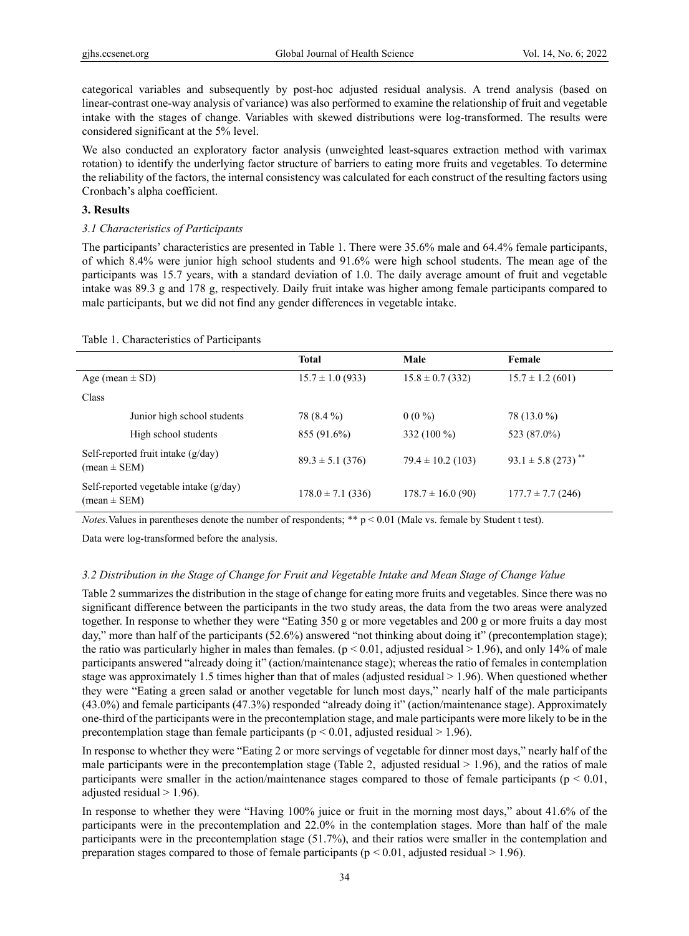categorical variables and subsequently by post-hoc adjusted residual analysis. A trend analysis (based on linear-contrast one-way analysis of variance) was also performed to examine the relationship of fruit and vegetable intake with the stages of change. Variables with skewed distributions were log-transformed. The results were considered significant at the 5% level.

We also conducted an exploratory factor analysis (unweighted least-squares extraction method with varimax rotation) to identify the underlying factor structure of barriers to eating more fruits and vegetables. To determine the reliability of the factors, the internal consistency was calculated for each construct of the resulting factors using Cronbach's alpha coefficient.

#### **3. Results**

#### *3.1 Characteristics of Participants*

The participants' characteristics are presented in Table 1. There were 35.6% male and 64.4% female participants, of which 8.4% were junior high school students and 91.6% were high school students. The mean age of the participants was 15.7 years, with a standard deviation of 1.0. The daily average amount of fruit and vegetable intake was 89.3 g and 178 g, respectively. Daily fruit intake was higher among female participants compared to male participants, but we did not find any gender differences in vegetable intake.

|                                                          | <b>Total</b>          | Male                  | Female                             |  |
|----------------------------------------------------------|-----------------------|-----------------------|------------------------------------|--|
| Age (mean $\pm$ SD)                                      | $15.7 \pm 1.0$ (933)  | $15.8 \pm 0.7$ (332)  | $15.7 \pm 1.2$ (601)               |  |
| Class                                                    |                       |                       |                                    |  |
| Junior high school students                              | 78 (8.4 %)            | $0(0\%)$              | 78 (13.0 %)                        |  |
| High school students                                     | 855 (91.6%)           | 332 (100 %)           | 523 (87.0%)                        |  |
| Self-reported fruit intake (g/day)<br>$mean \pm SEM$ )   | $89.3 \pm 5.1$ (376)  | $79.4 \pm 10.2$ (103) | $93.1 \pm 5.8$ (273) <sup>**</sup> |  |
| Self-reported vegetable intake (g/day)<br>$mean \pm SEM$ | $178.0 \pm 7.1$ (336) | $178.7 \pm 16.0$ (90) | $177.7 \pm 7.7$ (246)              |  |

Table 1. Characteristics of Participants

*Notes.* Values in parentheses denote the number of respondents; \*\* p < 0.01 (Male vs. female by Student t test).

Data were log-transformed before the analysis.

# *3.2 Distribution in the Stage of Change for Fruit and Vegetable Intake and Mean Stage of Change Value*

Table 2 summarizes the distribution in the stage of change for eating more fruits and vegetables. Since there was no significant difference between the participants in the two study areas, the data from the two areas were analyzed together. In response to whether they were "Eating 350 g or more vegetables and 200 g or more fruits a day most day," more than half of the participants (52.6%) answered "not thinking about doing it" (precontemplation stage); the ratio was particularly higher in males than females. ( $p < 0.01$ , adjusted residual  $> 1.96$ ), and only 14% of male participants answered "already doing it" (action/maintenance stage); whereas the ratio of females in contemplation stage was approximately 1.5 times higher than that of males (adjusted residual > 1.96). When questioned whether they were "Eating a green salad or another vegetable for lunch most days," nearly half of the male participants (43.0%) and female participants (47.3%) responded "already doing it" (action/maintenance stage). Approximately one-third of the participants were in the precontemplation stage, and male participants were more likely to be in the precontemplation stage than female participants ( $p < 0.01$ , adjusted residual  $> 1.96$ ).

In response to whether they were "Eating 2 or more servings of vegetable for dinner most days," nearly half of the male participants were in the precontemplation stage (Table 2, adjusted residual  $> 1.96$ ), and the ratios of male participants were smaller in the action/maintenance stages compared to those of female participants ( $p < 0.01$ , adjusted residual  $> 1.96$ ).

In response to whether they were "Having 100% juice or fruit in the morning most days," about 41.6% of the participants were in the precontemplation and 22.0% in the contemplation stages. More than half of the male participants were in the precontemplation stage (51.7%), and their ratios were smaller in the contemplation and preparation stages compared to those of female participants ( $p < 0.01$ , adjusted residual  $> 1.96$ ).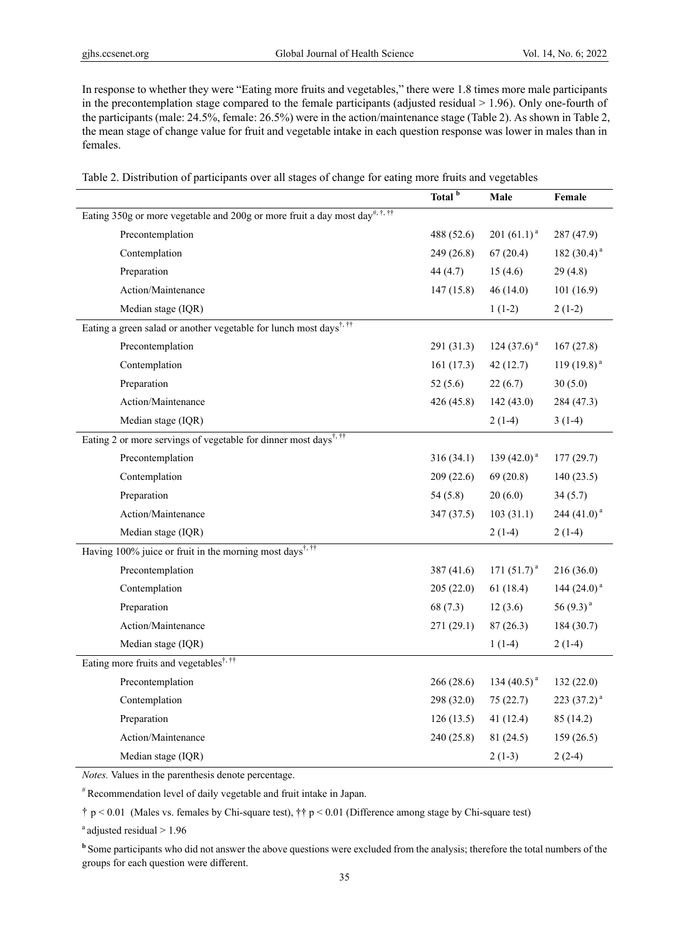In response to whether they were "Eating more fruits and vegetables," there were 1.8 times more male participants in the precontemplation stage compared to the female participants (adjusted residual  $> 1.96$ ). Only one-fourth of the participants (male: 24.5%, female: 26.5%) were in the action/maintenance stage (Table 2). As shown in Table 2, the mean stage of change value for fruit and vegetable intake in each question response was lower in males than in females.

|  |  |  | Table 2. Distribution of participants over all stages of change for eating more fruits and vegetables |  |
|--|--|--|-------------------------------------------------------------------------------------------------------|--|
|  |  |  |                                                                                                       |  |

|                                                                                         | Total <sup>b</sup> | Male             | Female           |
|-----------------------------------------------------------------------------------------|--------------------|------------------|------------------|
| Eating 350g or more vegetable and 200g or more fruit a day most day <sup>#, t, tt</sup> |                    |                  |                  |
| Precontemplation                                                                        | 488 (52.6)         | $201 (61.1)^a$   | 287 (47.9)       |
| Contemplation                                                                           | 249 (26.8)         | 67(20.4)         | 182 $(30.4)^a$   |
| Preparation                                                                             | 44 $(4.7)$         | 15(4.6)          | 29(4.8)          |
| Action/Maintenance                                                                      | 147(15.8)          | 46(14.0)         | 101(16.9)        |
| Median stage (IQR)                                                                      |                    | $1(1-2)$         | $2(1-2)$         |
| Eating a green salad or another vegetable for lunch most days <sup>†, ††</sup>          |                    |                  |                  |
| Precontemplation                                                                        | 291 (31.3)         | 124 $(37.6)^a$   | 167(27.8)        |
| Contemplation                                                                           | 161(17.3)          | 42(12.7)         | 119 $(19.8)^{a}$ |
| Preparation                                                                             | 52(5.6)            | 22(6.7)          | 30(5.0)          |
| Action/Maintenance                                                                      | 426 (45.8)         | 142(43.0)        | 284 (47.3)       |
| Median stage (IQR)                                                                      |                    | $2(1-4)$         | $3(1-4)$         |
| Eating 2 or more servings of vegetable for dinner most days <sup>†, ††</sup>            |                    |                  |                  |
| Precontemplation                                                                        | 316(34.1)          | 139 $(42.0)^{a}$ | 177 (29.7)       |
| Contemplation                                                                           | 209(22.6)          | 69(20.8)         | 140(23.5)        |
| Preparation                                                                             | 54(5.8)            | 20(6.0)          | 34(5.7)          |
| Action/Maintenance                                                                      | 347 (37.5)         | 103(31.1)        | 244 $(41.0)^{a}$ |
| Median stage (IQR)                                                                      |                    | $2(1-4)$         | $2(1-4)$         |
| Having 100% juice or fruit in the morning most days <sup>†, ††</sup>                    |                    |                  |                  |
| Precontemplation                                                                        | 387 (41.6)         | 171 $(51.7)^a$   | 216(36.0)        |
| Contemplation                                                                           | 205(22.0)          | 61(18.4)         | 144 $(24.0)^{a}$ |
| Preparation                                                                             | 68 (7.3)           | 12(3.6)          | 56 $(9.3)^a$     |
| Action/Maintenance                                                                      | 271 (29.1)         | 87(26.3)         | 184 (30.7)       |
| Median stage (IQR)                                                                      |                    | $1(1-4)$         | $2(1-4)$         |
| Eating more fruits and vegetables <sup>†, ††</sup>                                      |                    |                  |                  |
| Precontemplation                                                                        | 266 (28.6)         | 134 $(40.5)^{a}$ | 132 (22.0)       |
| Contemplation                                                                           | 298 (32.0)         | 75(22.7)         | 223 $(37.2)^a$   |
| Preparation                                                                             | 126(13.5)          | 41(12.4)         | 85 (14.2)        |
| Action/Maintenance                                                                      | 240 (25.8)         | 81(24.5)         | 159(26.5)        |
| Median stage (IQR)                                                                      |                    | $2(1-3)$         | $2(2-4)$         |

*Notes.* Values in the parenthesis denote percentage.

# Recommendation level of daily vegetable and fruit intake in Japan.

† p < 0.01 (Males vs. females by Chi-square test), †† p < 0.01 (Difference among stage by Chi-square test)

<sup>a</sup> adjusted residual > 1.96

**b** Some participants who did not answer the above questions were excluded from the analysis; therefore the total numbers of the groups for each question were different.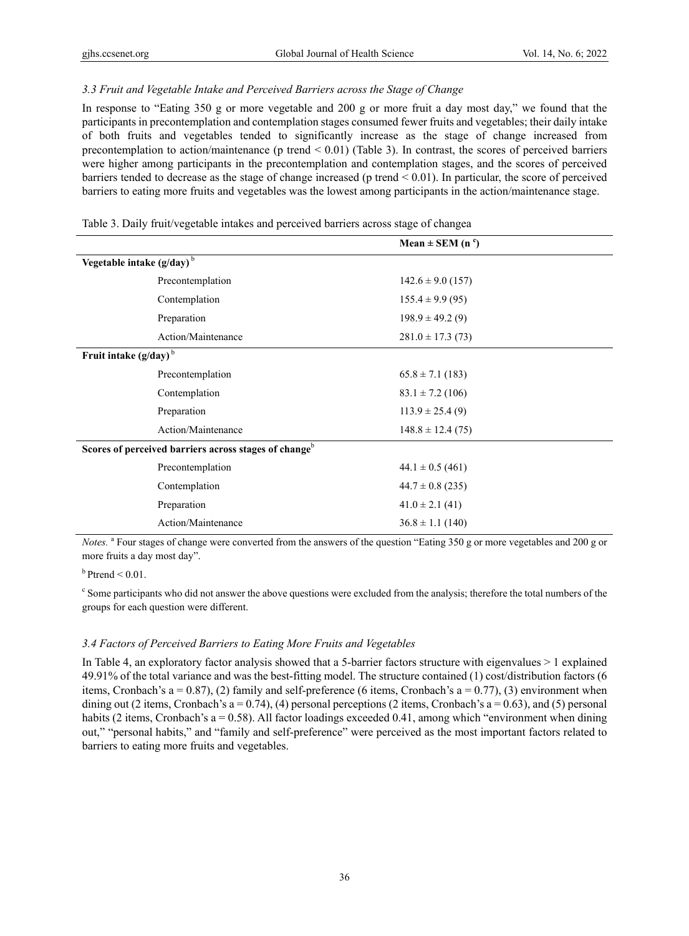# *3.3 Fruit and Vegetable Intake and Perceived Barriers across the Stage of Change*

In response to "Eating 350 g or more vegetable and 200 g or more fruit a day most day," we found that the participants in precontemplation and contemplation stages consumed fewer fruits and vegetables; their daily intake of both fruits and vegetables tended to significantly increase as the stage of change increased from precontemplation to action/maintenance (p trend  $\leq 0.01$ ) (Table 3). In contrast, the scores of perceived barriers were higher among participants in the precontemplation and contemplation stages, and the scores of perceived barriers tended to decrease as the stage of change increased (p trend < 0.01). In particular, the score of perceived barriers to eating more fruits and vegetables was the lowest among participants in the action/maintenance stage.

|                          |                                                                   | Mean $\pm$ SEM (n <sup>c</sup> ) |  |
|--------------------------|-------------------------------------------------------------------|----------------------------------|--|
|                          | Vegetable intake $(g/day)^b$                                      |                                  |  |
|                          | Precontemplation                                                  | $142.6 \pm 9.0$ (157)            |  |
|                          | Contemplation                                                     | $155.4 \pm 9.9(95)$              |  |
|                          | Preparation                                                       | $198.9 \pm 49.2(9)$              |  |
|                          | Action/Maintenance                                                | $281.0 \pm 17.3(73)$             |  |
| Fruit intake $(g/day)^b$ |                                                                   |                                  |  |
|                          | Precontemplation                                                  | $65.8 \pm 7.1$ (183)             |  |
|                          | Contemplation                                                     | $83.1 \pm 7.2$ (106)             |  |
|                          | Preparation                                                       | $113.9 \pm 25.4(9)$              |  |
|                          | Action/Maintenance                                                | $148.8 \pm 12.4(75)$             |  |
|                          | Scores of perceived barriers across stages of change <sup>b</sup> |                                  |  |
|                          | Precontemplation                                                  | $44.1 \pm 0.5$ (461)             |  |
|                          | Contemplation                                                     | $44.7 \pm 0.8$ (235)             |  |
|                          | Preparation                                                       | $41.0 \pm 2.1$ (41)              |  |
|                          | Action/Maintenance                                                | $36.8 \pm 1.1$ (140)             |  |
|                          |                                                                   |                                  |  |

Table 3. Daily fruit/vegetable intakes and perceived barriers across stage of changea

Notes. <sup>a</sup> Four stages of change were converted from the answers of the question "Eating 350 g or more vegetables and 200 g or more fruits a day most day".

 $b$  Ptrend < 0.01.

<sup>c</sup> Some participants who did not answer the above questions were excluded from the analysis; therefore the total numbers of the groups for each question were different.

#### *3.4 Factors of Perceived Barriers to Eating More Fruits and Vegetables*

In Table 4, an exploratory factor analysis showed that a 5-barrier factors structure with eigenvalues > 1 explained 49.91% of the total variance and was the best-fitting model. The structure contained (1) cost/distribution factors (6 items, Cronbach's a = 0.87), (2) family and self-preference (6 items, Cronbach's a = 0.77), (3) environment when dining out (2 items, Cronbach's  $a = 0.74$ ), (4) personal perceptions (2 items, Cronbach's  $a = 0.63$ ), and (5) personal habits (2 items, Cronbach's a = 0.58). All factor loadings exceeded 0.41, among which "environment when dining out," "personal habits," and "family and self-preference" were perceived as the most important factors related to barriers to eating more fruits and vegetables.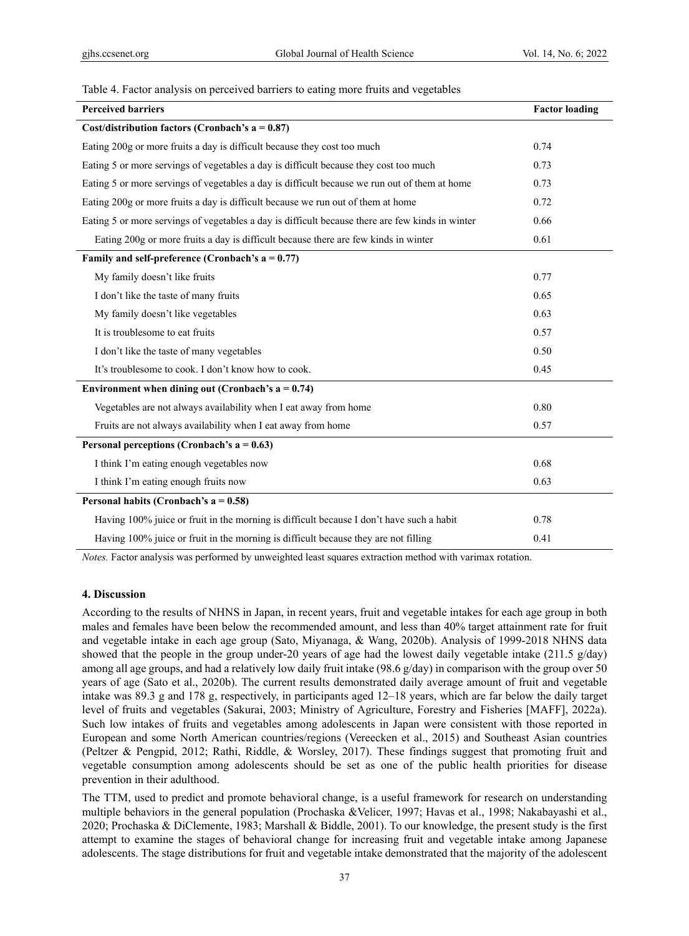#### Table 4. Factor analysis on perceived barriers to eating more fruits and vegetables

| <b>Perceived barriers</b>                                                                        | <b>Factor loading</b> |
|--------------------------------------------------------------------------------------------------|-----------------------|
| Cost/distribution factors (Cronbach's $a = 0.87$ )                                               |                       |
| Eating 200g or more fruits a day is difficult because they cost too much                         | 0.74                  |
| Eating 5 or more servings of vegetables a day is difficult because they cost too much            | 0.73                  |
| Eating 5 or more servings of vegetables a day is difficult because we run out of them at home    | 0.73                  |
| Eating 200g or more fruits a day is difficult because we run out of them at home                 | 0.72                  |
| Eating 5 or more servings of vegetables a day is difficult because there are few kinds in winter | 0.66                  |
| Eating 200g or more fruits a day is difficult because there are few kinds in winter              | 0.61                  |
| Family and self-preference (Cronbach's $a = 0.77$ )                                              |                       |
| My family doesn't like fruits                                                                    | 0.77                  |
| I don't like the taste of many fruits                                                            | 0.65                  |
| My family doesn't like vegetables                                                                | 0.63                  |
| It is troublesome to eat fruits                                                                  | 0.57                  |
| I don't like the taste of many vegetables                                                        | 0.50                  |
| It's troublesome to cook. I don't know how to cook.                                              | 0.45                  |
| Environment when dining out (Cronbach's $a = 0.74$ )                                             |                       |
| Vegetables are not always availability when I eat away from home                                 | 0.80                  |
| Fruits are not always availability when I eat away from home                                     | 0.57                  |
| Personal perceptions (Cronbach's $a = 0.63$ )                                                    |                       |
| I think I'm eating enough vegetables now                                                         | 0.68                  |
| I think I'm eating enough fruits now                                                             | 0.63                  |
| Personal habits (Cronbach's $a = 0.58$ )                                                         |                       |
| Having 100% juice or fruit in the morning is difficult because I don't have such a habit         | 0.78                  |
| Having 100% juice or fruit in the morning is difficult because they are not filling              | 0.41                  |

*Notes.* Factor analysis was performed by unweighted least squares extraction method with varimax rotation.

#### **4. Discussion**

According to the results of NHNS in Japan, in recent years, fruit and vegetable intakes for each age group in both males and females have been below the recommended amount, and less than 40% target attainment rate for fruit and vegetable intake in each age group (Sato, Miyanaga, & Wang, 2020b). Analysis of 1999-2018 NHNS data showed that the people in the group under-20 years of age had the lowest daily vegetable intake (211.5 g/day) among all age groups, and had a relatively low daily fruit intake (98.6 g/day) in comparison with the group over 50 years of age (Sato et al., 2020b). The current results demonstrated daily average amount of fruit and vegetable intake was 89.3 g and 178 g, respectively, in participants aged 12–18 years, which are far below the daily target level of fruits and vegetables (Sakurai, 2003; Ministry of Agriculture, Forestry and Fisheries [MAFF], 2022a). Such low intakes of fruits and vegetables among adolescents in Japan were consistent with those reported in European and some North American countries/regions (Vereecken et al., 2015) and Southeast Asian countries (Peltzer & Pengpid, 2012; Rathi, Riddle, & Worsley, 2017). These findings suggest that promoting fruit and vegetable consumption among adolescents should be set as one of the public health priorities for disease prevention in their adulthood.

The TTM, used to predict and promote behavioral change, is a useful framework for research on understanding multiple behaviors in the general population (Prochaska &Velicer, 1997; Havas et al., 1998; Nakabayashi et al., 2020; Prochaska & DiClemente, 1983; Marshall & Biddle, 2001). To our knowledge, the present study is the first attempt to examine the stages of behavioral change for increasing fruit and vegetable intake among Japanese adolescents. The stage distributions for fruit and vegetable intake demonstrated that the majority of the adolescent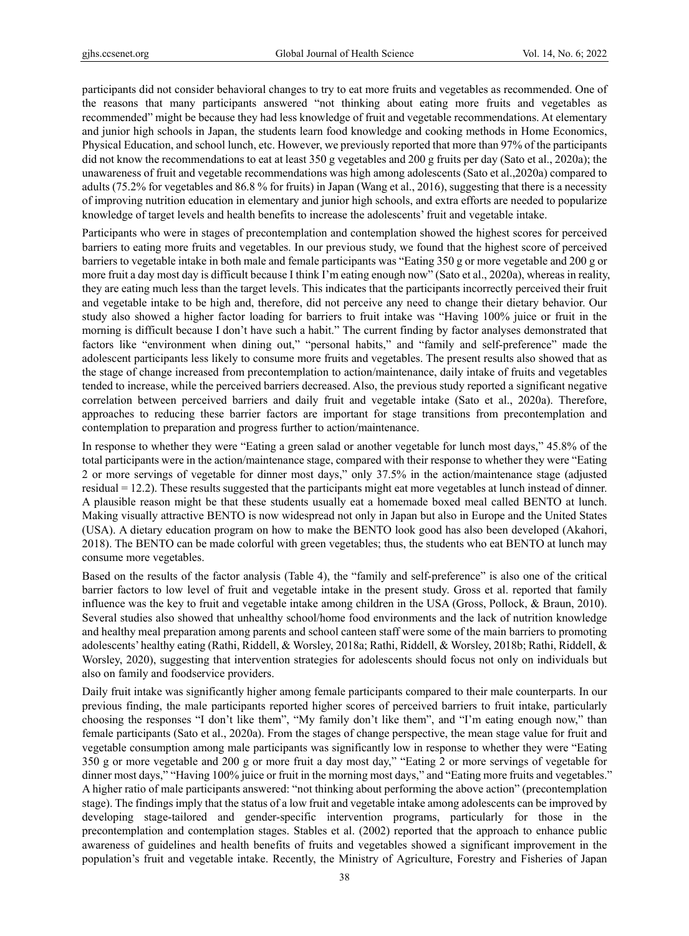participants did not consider behavioral changes to try to eat more fruits and vegetables as recommended. One of the reasons that many participants answered "not thinking about eating more fruits and vegetables as recommended" might be because they had less knowledge of fruit and vegetable recommendations. At elementary and junior high schools in Japan, the students learn food knowledge and cooking methods in Home Economics, Physical Education, and school lunch, etc. However, we previously reported that more than 97% of the participants did not know the recommendations to eat at least 350 g vegetables and 200 g fruits per day (Sato et al., 2020a); the unawareness of fruit and vegetable recommendations was high among adolescents (Sato et al.,2020a) compared to adults (75.2% for vegetables and 86.8 % for fruits) in Japan (Wang et al., 2016), suggesting that there is a necessity of improving nutrition education in elementary and junior high schools, and extra efforts are needed to popularize knowledge of target levels and health benefits to increase the adolescents' fruit and vegetable intake.

Participants who were in stages of precontemplation and contemplation showed the highest scores for perceived barriers to eating more fruits and vegetables. In our previous study, we found that the highest score of perceived barriers to vegetable intake in both male and female participants was "Eating 350 g or more vegetable and 200 g or more fruit a day most day is difficult because I think I'm eating enough now" (Sato et al., 2020a), whereas in reality, they are eating much less than the target levels. This indicates that the participants incorrectly perceived their fruit and vegetable intake to be high and, therefore, did not perceive any need to change their dietary behavior. Our study also showed a higher factor loading for barriers to fruit intake was "Having 100% juice or fruit in the morning is difficult because I don't have such a habit." The current finding by factor analyses demonstrated that factors like "environment when dining out," "personal habits," and "family and self-preference" made the adolescent participants less likely to consume more fruits and vegetables. The present results also showed that as the stage of change increased from precontemplation to action/maintenance, daily intake of fruits and vegetables tended to increase, while the perceived barriers decreased. Also, the previous study reported a significant negative correlation between perceived barriers and daily fruit and vegetable intake (Sato et al., 2020a). Therefore, approaches to reducing these barrier factors are important for stage transitions from precontemplation and contemplation to preparation and progress further to action/maintenance.

In response to whether they were "Eating a green salad or another vegetable for lunch most days," 45.8% of the total participants were in the action/maintenance stage, compared with their response to whether they were "Eating 2 or more servings of vegetable for dinner most days," only 37.5% in the action/maintenance stage (adjusted residual = 12.2). These results suggested that the participants might eat more vegetables at lunch instead of dinner. A plausible reason might be that these students usually eat a homemade boxed meal called BENTO at lunch. Making visually attractive BENTO is now widespread not only in Japan but also in Europe and the United States (USA). A dietary education program on how to make the BENTO look good has also been developed (Akahori, 2018). The BENTO can be made colorful with green vegetables; thus, the students who eat BENTO at lunch may consume more vegetables.

Based on the results of the factor analysis (Table 4), the "family and self-preference" is also one of the critical barrier factors to low level of fruit and vegetable intake in the present study. Gross et al. reported that family influence was the key to fruit and vegetable intake among children in the USA (Gross, Pollock, & Braun, 2010). Several studies also showed that unhealthy school/home food environments and the lack of nutrition knowledge and healthy meal preparation among parents and school canteen staff were some of the main barriers to promoting adolescents' healthy eating (Rathi, Riddell, & Worsley, 2018a; Rathi, Riddell, & Worsley, 2018b; Rathi, Riddell, & Worsley, 2020), suggesting that intervention strategies for adolescents should focus not only on individuals but also on family and foodservice providers.

Daily fruit intake was significantly higher among female participants compared to their male counterparts. In our previous finding, the male participants reported higher scores of perceived barriers to fruit intake, particularly choosing the responses "I don't like them", "My family don't like them", and "I'm eating enough now," than female participants (Sato et al., 2020a). From the stages of change perspective, the mean stage value for fruit and vegetable consumption among male participants was significantly low in response to whether they were "Eating 350 g or more vegetable and 200 g or more fruit a day most day," "Eating 2 or more servings of vegetable for dinner most days," "Having 100% juice or fruit in the morning most days," and "Eating more fruits and vegetables." A higher ratio of male participants answered: "not thinking about performing the above action" (precontemplation stage). The findings imply that the status of a low fruit and vegetable intake among adolescents can be improved by developing stage-tailored and gender-specific intervention programs, particularly for those in the precontemplation and contemplation stages. Stables et al. (2002) reported that the approach to enhance public awareness of guidelines and health benefits of fruits and vegetables showed a significant improvement in the population's fruit and vegetable intake. Recently, the Ministry of Agriculture, Forestry and Fisheries of Japan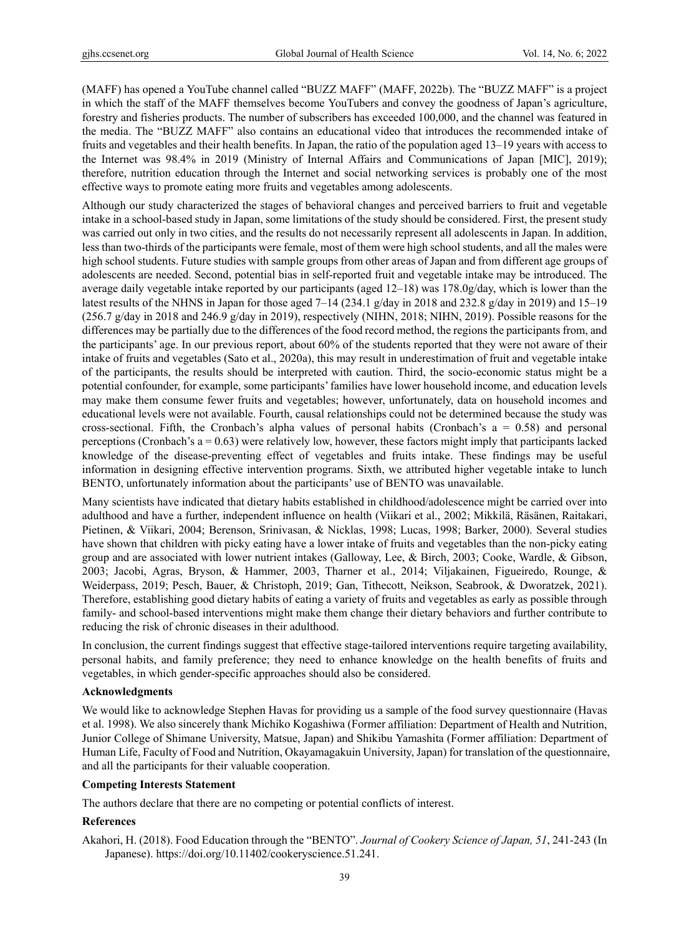(MAFF) has opened a YouTube channel called "BUZZ MAFF" (MAFF, 2022b). The "BUZZ MAFF" is a project in which the staff of the MAFF themselves become YouTubers and convey the goodness of Japan's agriculture, forestry and fisheries products. The number of subscribers has exceeded 100,000, and the channel was featured in the media. The "BUZZ MAFF" also contains an educational video that introduces the recommended intake of fruits and vegetables and their health benefits. In Japan, the ratio of the population aged 13–19 years with access to the Internet was 98.4% in 2019 (Ministry of Internal Affairs and Communications of Japan [MIC], 2019); therefore, nutrition education through the Internet and social networking services is probably one of the most effective ways to promote eating more fruits and vegetables among adolescents.

Although our study characterized the stages of behavioral changes and perceived barriers to fruit and vegetable intake in a school-based study in Japan, some limitations of the study should be considered. First, the present study was carried out only in two cities, and the results do not necessarily represent all adolescents in Japan. In addition, less than two-thirds of the participants were female, most of them were high school students, and all the males were high school students. Future studies with sample groups from other areas of Japan and from different age groups of adolescents are needed. Second, potential bias in self-reported fruit and vegetable intake may be introduced. The average daily vegetable intake reported by our participants (aged 12–18) was 178.0g/day, which is lower than the latest results of the NHNS in Japan for those aged 7–14 (234.1 g/day in 2018 and 232.8 g/day in 2019) and 15–19 (256.7 g/day in 2018 and 246.9 g/day in 2019), respectively (NIHN, 2018; NIHN, 2019). Possible reasons for the differences may be partially due to the differences of the food record method, the regions the participants from, and the participants' age. In our previous report, about 60% of the students reported that they were not aware of their intake of fruits and vegetables (Sato et al., 2020a), this may result in underestimation of fruit and vegetable intake of the participants, the results should be interpreted with caution. Third, the socio-economic status might be a potential confounder, for example, some participants' families have lower household income, and education levels may make them consume fewer fruits and vegetables; however, unfortunately, data on household incomes and educational levels were not available. Fourth, causal relationships could not be determined because the study was cross-sectional. Fifth, the Cronbach's alpha values of personal habits (Cronbach's  $a = 0.58$ ) and personal perceptions (Cronbach's  $a = 0.63$ ) were relatively low, however, these factors might imply that participants lacked knowledge of the disease-preventing effect of vegetables and fruits intake. These findings may be useful information in designing effective intervention programs. Sixth, we attributed higher vegetable intake to lunch BENTO, unfortunately information about the participants' use of BENTO was unavailable.

Many scientists have indicated that dietary habits established in childhood/adolescence might be carried over into adulthood and have a further, independent influence on health (Viikari et al., 2002; Mikkilä, Räsänen, Raitakari, Pietinen, & Viikari, 2004; Berenson, Srinivasan, & Nicklas, 1998; Lucas, 1998; Barker, 2000). Several studies have shown that children with picky eating have a lower intake of fruits and vegetables than the non-picky eating group and are associated with lower nutrient intakes (Galloway, Lee, & Birch, 2003; Cooke, Wardle, & Gibson, 2003; Jacobi, Agras, Bryson, & Hammer, 2003, Tharner et al., 2014; Viljakainen, Figueiredo, Rounge, & Weiderpass, 2019; Pesch, Bauer, & Christoph, 2019; Gan, Tithecott, Neikson, Seabrook, & Dworatzek, 2021). Therefore, establishing good dietary habits of eating a variety of fruits and vegetables as early as possible through family- and school-based interventions might make them change their dietary behaviors and further contribute to reducing the risk of chronic diseases in their adulthood.

In conclusion, the current findings suggest that effective stage-tailored interventions require targeting availability, personal habits, and family preference; they need to enhance knowledge on the health benefits of fruits and vegetables, in which gender-specific approaches should also be considered.

# **Acknowledgments**

We would like to acknowledge Stephen Havas for providing us a sample of the food survey questionnaire (Havas et al. 1998). We also sincerely thank Michiko Kogashiwa (Former affiliation: Department of Health and Nutrition, Junior College of Shimane University, Matsue, Japan) and Shikibu Yamashita (Former affiliation: Department of Human Life, Faculty of Food and Nutrition, Okayamagakuin University, Japan) for translation of the questionnaire, and all the participants for their valuable cooperation.

# **Competing Interests Statement**

The authors declare that there are no competing or potential conflicts of interest.

# **References**

Akahori, H. (2018). Food Education through the "BENTO". *Journal of Cookery Science of Japan, 51*, 241-243 (In Japanese). https://doi.org/10.11402/cookeryscience.51.241.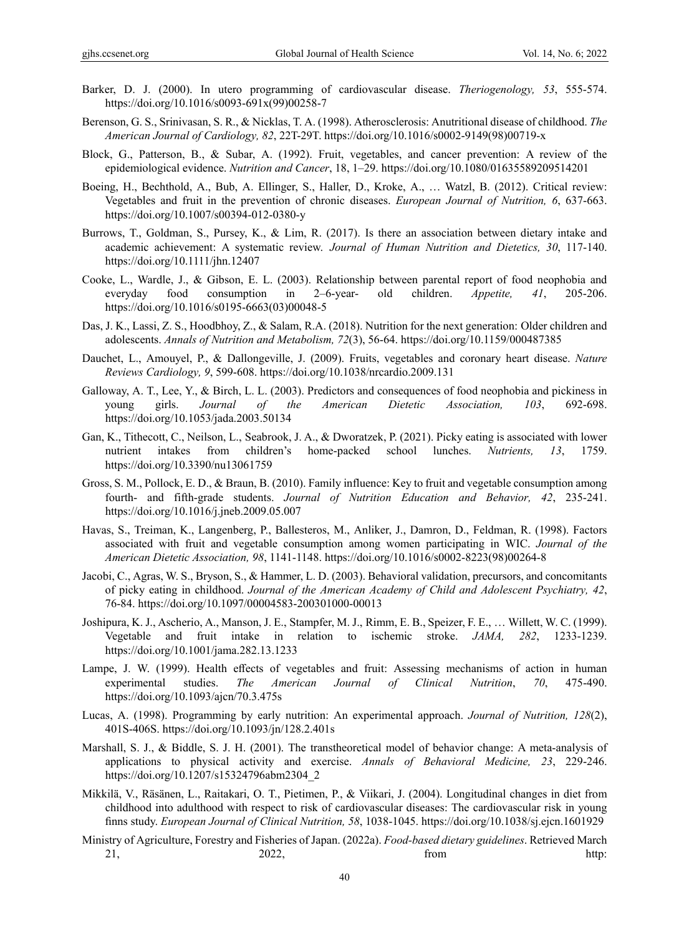- Barker, D. J. (2000). In utero programming of cardiovascular disease. *Theriogenology, 53*, 555-574. https://doi.org/10.1016/s0093-691x(99)00258-7
- Berenson, G. S., Srinivasan, S. R., & Nicklas, T. A. (1998). Atherosclerosis: Anutritional disease of childhood. *The American Journal of Cardiology, 82*, 22T-29T. https://doi.org/10.1016/s0002-9149(98)00719-x
- Block, G., Patterson, B., & Subar, A. (1992). Fruit, vegetables, and cancer prevention: A review of the epidemiological evidence. *Nutrition and Cancer*, 18, 1–29. https://doi.org/10.1080/01635589209514201
- Boeing, H., Bechthold, A., Bub, A. Ellinger, S., Haller, D., Kroke, A., … Watzl, B. (2012). Critical review: Vegetables and fruit in the prevention of chronic diseases. *European Journal of Nutrition, 6*, 637-663. https://doi.org/10.1007/s00394-012-0380-y
- Burrows, T., Goldman, S., Pursey, K., & Lim, R. (2017). Is there an association between dietary intake and academic achievement: A systematic review. *Journal of Human Nutrition and Dietetics, 30*, 117-140. https://doi.org/10.1111/jhn.12407
- Cooke, L., Wardle, J., & Gibson, E. L. (2003). Relationship between parental report of food neophobia and everyday food consumption in 2–6-year- old children. *Appetite, 41*, 205-206. https://doi.org/10.1016/s0195-6663(03)00048-5
- Das, J. K., Lassi, Z. S., Hoodbhoy, Z., & Salam, R.A. (2018). Nutrition for the next generation: Older children and adolescents. *Annals of Nutrition and Metabolism, 72*(3), 56-64. https://doi.org/10.1159/000487385
- Dauchet, L., Amouyel, P., & Dallongeville, J. (2009). Fruits, vegetables and coronary heart disease. *Nature Reviews Cardiology, 9*, 599-608. https://doi.org/10.1038/nrcardio.2009.131
- Galloway, A. T., Lee, Y., & Birch, L. L. (2003). Predictors and consequences of food neophobia and pickiness in young girls. *Journal of the American Dietetic Association, 103*, 692-698. https://doi.org/10.1053/jada.2003.50134
- Gan, K., Tithecott, C., Neilson, L., Seabrook, J. A., & Dworatzek, P. (2021). Picky eating is associated with lower nutrient intakes from children's home-packed school lunches. *Nutrients, 13*, 1759. https://doi.org/10.3390/nu13061759
- Gross, S. M., Pollock, E. D., & Braun, B. (2010). Family influence: Key to fruit and vegetable consumption among fourth- and fifth-grade students. *Journal of Nutrition Education and Behavior, 42*, 235-241. https://doi.org/10.1016/j.jneb.2009.05.007
- Havas, S., Treiman, K., Langenberg, P., Ballesteros, M., Anliker, J., Damron, D., Feldman, R. (1998). Factors associated with fruit and vegetable consumption among women participating in WIC. *Journal of the American Dietetic Association, 98*, 1141-1148. https://doi.org/10.1016/s0002-8223(98)00264-8
- Jacobi, C., Agras, W. S., Bryson, S., & Hammer, L. D. (2003). Behavioral validation, precursors, and concomitants of picky eating in childhood. *Journal of the American Academy of Child and Adolescent Psychiatry, 42*, 76-84. https://doi.org/10.1097/00004583-200301000-00013
- Joshipura, K. J., Ascherio, A., Manson, J. E., Stampfer, M. J., Rimm, E. B., Speizer, F. E., … Willett, W. C. (1999). Vegetable and fruit intake in relation to ischemic stroke. *JAMA, 282*, 1233-1239. https://doi.org/10.1001/jama.282.13.1233
- Lampe, J. W. (1999). Health effects of vegetables and fruit: Assessing mechanisms of action in human experimental studies. *The American Journal of Clinical Nutrition*, *70*, 475-490. https://doi.org/10.1093/ajcn/70.3.475s
- Lucas, A. (1998). Programming by early nutrition: An experimental approach. *Journal of Nutrition, 128*(2), 401S-406S. https://doi.org/10.1093/jn/128.2.401s
- Marshall, S. J., & Biddle, S. J. H. (2001). The transtheoretical model of behavior change: A meta-analysis of applications to physical activity and exercise. *Annals of Behavioral Medicine, 23*, 229-246. https://doi.org/10.1207/s15324796abm2304\_2
- Mikkilä, V., Räsänen, L., Raitakari, O. T., Pietimen, P., & Viikari, J. (2004). Longitudinal changes in diet from childhood into adulthood with respect to risk of cardiovascular diseases: The cardiovascular risk in young finns study. *European Journal of Clinical Nutrition, 58*, 1038-1045. https://doi.org/10.1038/sj.ejcn.1601929
- Ministry of Agriculture, Forestry and Fisheries of Japan. (2022a). *Food-based dietary guidelines*. Retrieved March 21, 2022, 2002 *2023*, 2008 **http:**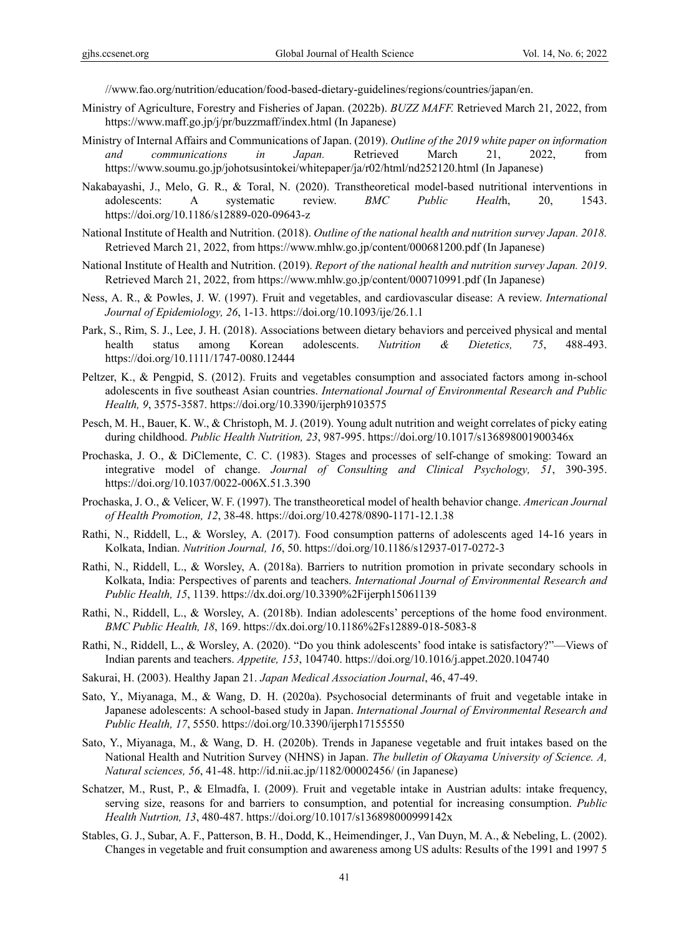//www.fao.org/nutrition/education/food-based-dietary-guidelines/regions/countries/japan/en.

- Ministry of Agriculture, Forestry and Fisheries of Japan. (2022b). *BUZZ MAFF.* Retrieved March 21, 2022, from https://www.maff.go.jp/j/pr/buzzmaff/index.html (In Japanese)
- Ministry of Internal Affairs and Communications of Japan. (2019). *Outline of the 2019 white paper on information and communications in Japan.* Retrieved March 21, 2022, from https://www.soumu.go.jp/johotsusintokei/whitepaper/ja/r02/html/nd252120.html (In Japanese)
- Nakabayashi, J., Melo, G. R., & Toral, N. (2020). Transtheoretical model-based nutritional interventions in adolescents: A systematic review. *BMC Public Healt*h, 20, 1543. https://doi.org/10.1186/s12889-020-09643-z
- National Institute of Health and Nutrition. (2018). *Outline of the national health and nutrition survey Japan. 2018.*  Retrieved March 21, 2022, from https://www.mhlw.go.jp/content/000681200.pdf (In Japanese)
- National Institute of Health and Nutrition. (2019). *Report of the national health and nutrition survey Japan. 2019*. Retrieved March 21, 2022, from https://www.mhlw.go.jp/content/000710991.pdf (In Japanese)
- Ness, A. R., & Powles, J. W. (1997). Fruit and vegetables, and cardiovascular disease: A review. *International Journal of Epidemiology, 26*, 1-13. https://doi.org/10.1093/ije/26.1.1
- Park, S., Rim, S. J., Lee, J. H. (2018). Associations between dietary behaviors and perceived physical and mental health status among Korean adolescents. *Nutrition & Dietetics, 75*, 488-493. https://doi.org/10.1111/1747-0080.12444
- Peltzer, K., & Pengpid, S. (2012). Fruits and vegetables consumption and associated factors among in-school adolescents in five southeast Asian countries. *International Journal of Environmental Research and Public Health, 9*, 3575-3587. https://doi.org/10.3390/ijerph9103575
- Pesch, M. H., Bauer, K. W., & Christoph, M. J. (2019). Young adult nutrition and weight correlates of picky eating during childhood. *Public Health Nutrition, 23*, 987-995. https://doi.org/10.1017/s136898001900346x
- Prochaska, J. O., & DiClemente, C. C. (1983). Stages and processes of self-change of smoking: Toward an integrative model of change. *Journal of Consulting and Clinical Psychology, 51*, 390-395. https://doi.org/10.1037/0022-006X.51.3.390
- Prochaska, J. O., & Velicer, W. F. (1997). The transtheoretical model of health behavior change. *American Journal of Health Promotion, 12*, 38-48. https://doi.org/10.4278/0890-1171-12.1.38
- Rathi, N., Riddell, L., & Worsley, A. (2017). Food consumption patterns of adolescents aged 14-16 years in Kolkata, Indian. *Nutrition Journal, 16*, 50. https://doi.org/10.1186/s12937-017-0272-3
- Rathi, N., Riddell, L., & Worsley, A. (2018a). Barriers to nutrition promotion in private secondary schools in Kolkata, India: Perspectives of parents and teachers. *International Journal of Environmental Research and Public Health, 15*, 1139. https://dx.doi.org/10.3390%2Fijerph15061139
- Rathi, N., Riddell, L., & Worsley, A. (2018b). Indian adolescents' perceptions of the home food environment. *BMC Public Health, 18*, 169. https://dx.doi.org/10.1186%2Fs12889-018-5083-8
- Rathi, N., Riddell, L., & Worsley, A. (2020). "Do you think adolescents' food intake is satisfactory?"—Views of Indian parents and teachers. *Appetite, 153*, 104740. https://doi.org/10.1016/j.appet.2020.104740
- Sakurai, H. (2003). Healthy Japan 21. *Japan Medical Association Journal*, 46, 47-49.
- Sato, Y., Miyanaga, M., & Wang, D. H. (2020a). Psychosocial determinants of fruit and vegetable intake in Japanese adolescents: A school-based study in Japan. *International Journal of Environmental Research and Public Health, 17*, 5550. https://doi.org/10.3390/ijerph17155550
- Sato, Y., Miyanaga, M., & Wang, D. H. (2020b). Trends in Japanese vegetable and fruit intakes based on the National Health and Nutrition Survey (NHNS) in Japan. *The bulletin of Okayama University of Science. A, Natural sciences, 56*, 41-48. http://id.nii.ac.jp/1182/00002456/ (in Japanese)
- Schatzer, M., Rust, P., & Elmadfa, I. (2009). Fruit and vegetable intake in Austrian adults: intake frequency, serving size, reasons for and barriers to consumption, and potential for increasing consumption. *Public Health Nutrtion, 13*, 480-487. https://doi.org/10.1017/s136898000999142x
- Stables, G. J., Subar, A. F., Patterson, B. H., Dodd, K., Heimendinger, J., Van Duyn, M. A., & Nebeling, L. (2002). Changes in vegetable and fruit consumption and awareness among US adults: Results of the 1991 and 1997 5